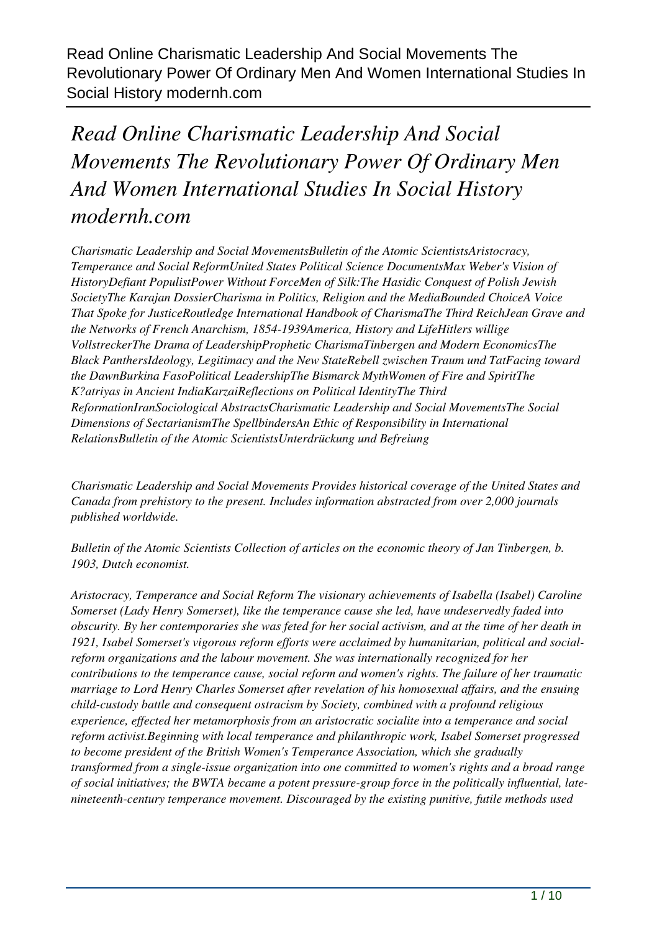# *Read Online Charismatic Leadership And Social Movements The Revolutionary Power Of Ordinary Men And Women International Studies In Social History modernh.com*

*Charismatic Leadership and Social MovementsBulletin of the Atomic ScientistsAristocracy, Temperance and Social ReformUnited States Political Science DocumentsMax Weber's Vision of HistoryDefiant PopulistPower Without ForceMen of Silk:The Hasidic Conquest of Polish Jewish SocietyThe Karajan DossierCharisma in Politics, Religion and the MediaBounded ChoiceA Voice That Spoke for JusticeRoutledge International Handbook of CharismaThe Third ReichJean Grave and the Networks of French Anarchism, 1854-1939America, History and LifeHitlers willige VollstreckerThe Drama of LeadershipProphetic CharismaTinbergen and Modern EconomicsThe Black PanthersIdeology, Legitimacy and the New StateRebell zwischen Traum und TatFacing toward the DawnBurkina FasoPolitical LeadershipThe Bismarck MythWomen of Fire and SpiritThe K?atriyas in Ancient IndiaKarzaiReflections on Political IdentityThe Third ReformationIranSociological AbstractsCharismatic Leadership and Social MovementsThe Social Dimensions of SectarianismThe SpellbindersAn Ethic of Responsibility in International RelationsBulletin of the Atomic ScientistsUnterdrückung und Befreiung*

*Charismatic Leadership and Social Movements Provides historical coverage of the United States and Canada from prehistory to the present. Includes information abstracted from over 2,000 journals published worldwide.* 

*Bulletin of the Atomic Scientists Collection of articles on the economic theory of Jan Tinbergen, b. 1903, Dutch economist.* 

*Aristocracy, Temperance and Social Reform The visionary achievements of Isabella (Isabel) Caroline Somerset (Lady Henry Somerset), like the temperance cause she led, have undeservedly faded into obscurity. By her contemporaries she was feted for her social activism, and at the time of her death in 1921, Isabel Somerset's vigorous reform efforts were acclaimed by humanitarian, political and socialreform organizations and the labour movement. She was internationally recognized for her contributions to the temperance cause, social reform and women's rights. The failure of her traumatic marriage to Lord Henry Charles Somerset after revelation of his homosexual affairs, and the ensuing child-custody battle and consequent ostracism by Society, combined with a profound religious experience, effected her metamorphosis from an aristocratic socialite into a temperance and social reform activist.Beginning with local temperance and philanthropic work, Isabel Somerset progressed to become president of the British Women's Temperance Association, which she gradually transformed from a single-issue organization into one committed to women's rights and a broad range of social initiatives; the BWTA became a potent pressure-group force in the politically influential, latenineteenth-century temperance movement. Discouraged by the existing punitive, futile methods used*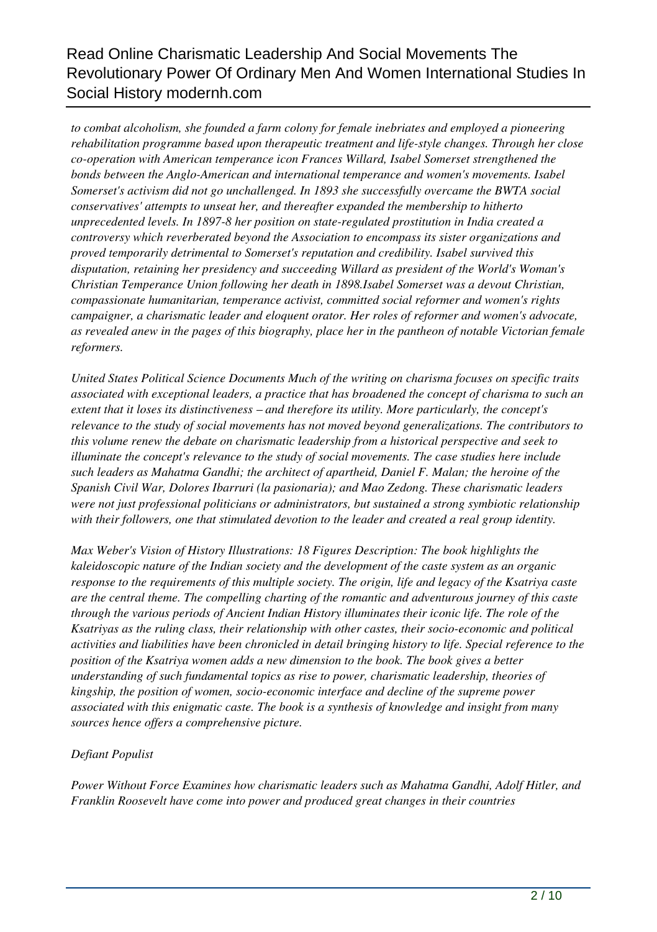*to combat alcoholism, she founded a farm colony for female inebriates and employed a pioneering rehabilitation programme based upon therapeutic treatment and life-style changes. Through her close co-operation with American temperance icon Frances Willard, Isabel Somerset strengthened the bonds between the Anglo-American and international temperance and women's movements. Isabel Somerset's activism did not go unchallenged. In 1893 she successfully overcame the BWTA social conservatives' attempts to unseat her, and thereafter expanded the membership to hitherto unprecedented levels. In 1897-8 her position on state-regulated prostitution in India created a controversy which reverberated beyond the Association to encompass its sister organizations and proved temporarily detrimental to Somerset's reputation and credibility. Isabel survived this disputation, retaining her presidency and succeeding Willard as president of the World's Woman's Christian Temperance Union following her death in 1898.Isabel Somerset was a devout Christian, compassionate humanitarian, temperance activist, committed social reformer and women's rights campaigner, a charismatic leader and eloquent orator. Her roles of reformer and women's advocate, as revealed anew in the pages of this biography, place her in the pantheon of notable Victorian female reformers.* 

*United States Political Science Documents Much of the writing on charisma focuses on specific traits associated with exceptional leaders, a practice that has broadened the concept of charisma to such an extent that it loses its distinctiveness – and therefore its utility. More particularly, the concept's relevance to the study of social movements has not moved beyond generalizations. The contributors to this volume renew the debate on charismatic leadership from a historical perspective and seek to illuminate the concept's relevance to the study of social movements. The case studies here include such leaders as Mahatma Gandhi; the architect of apartheid, Daniel F. Malan; the heroine of the Spanish Civil War, Dolores Ibarruri (la pasionaria); and Mao Zedong. These charismatic leaders were not just professional politicians or administrators, but sustained a strong symbiotic relationship with their followers, one that stimulated devotion to the leader and created a real group identity.* 

*Max Weber's Vision of History Illustrations: 18 Figures Description: The book highlights the kaleidoscopic nature of the Indian society and the development of the caste system as an organic response to the requirements of this multiple society. The origin, life and legacy of the Ksatriya caste are the central theme. The compelling charting of the romantic and adventurous journey of this caste through the various periods of Ancient Indian History illuminates their iconic life. The role of the Ksatriyas as the ruling class, their relationship with other castes, their socio-economic and political activities and liabilities have been chronicled in detail bringing history to life. Special reference to the position of the Ksatriya women adds a new dimension to the book. The book gives a better understanding of such fundamental topics as rise to power, charismatic leadership, theories of kingship, the position of women, socio-economic interface and decline of the supreme power associated with this enigmatic caste. The book is a synthesis of knowledge and insight from many sources hence offers a comprehensive picture.* 

#### *Defiant Populist*

*Power Without Force Examines how charismatic leaders such as Mahatma Gandhi, Adolf Hitler, and Franklin Roosevelt have come into power and produced great changes in their countries*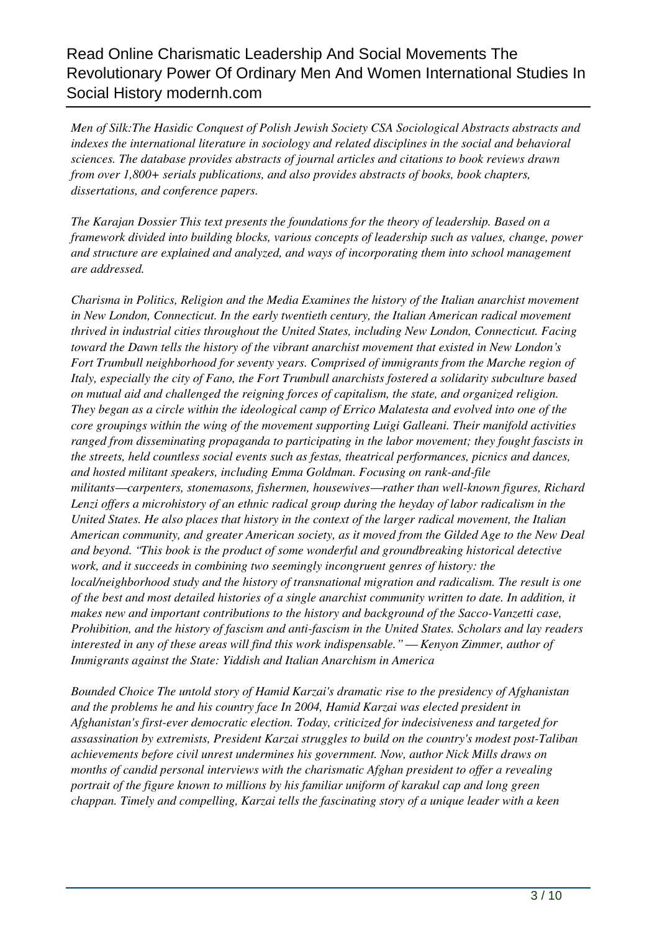*Men of Silk:The Hasidic Conquest of Polish Jewish Society CSA Sociological Abstracts abstracts and indexes the international literature in sociology and related disciplines in the social and behavioral sciences. The database provides abstracts of journal articles and citations to book reviews drawn from over 1,800+ serials publications, and also provides abstracts of books, book chapters, dissertations, and conference papers.* 

*The Karajan Dossier This text presents the foundations for the theory of leadership. Based on a framework divided into building blocks, various concepts of leadership such as values, change, power and structure are explained and analyzed, and ways of incorporating them into school management are addressed.* 

*Charisma in Politics, Religion and the Media Examines the history of the Italian anarchist movement in New London, Connecticut. In the early twentieth century, the Italian American radical movement thrived in industrial cities throughout the United States, including New London, Connecticut. Facing toward the Dawn tells the history of the vibrant anarchist movement that existed in New London's Fort Trumbull neighborhood for seventy years. Comprised of immigrants from the Marche region of Italy, especially the city of Fano, the Fort Trumbull anarchists fostered a solidarity subculture based on mutual aid and challenged the reigning forces of capitalism, the state, and organized religion. They began as a circle within the ideological camp of Errico Malatesta and evolved into one of the core groupings within the wing of the movement supporting Luigi Galleani. Their manifold activities ranged from disseminating propaganda to participating in the labor movement; they fought fascists in the streets, held countless social events such as festas, theatrical performances, picnics and dances, and hosted militant speakers, including Emma Goldman. Focusing on rank-and-file militants—carpenters, stonemasons, fishermen, housewives—rather than well-known figures, Richard Lenzi offers a microhistory of an ethnic radical group during the heyday of labor radicalism in the United States. He also places that history in the context of the larger radical movement, the Italian American community, and greater American society, as it moved from the Gilded Age to the New Deal and beyond. "This book is the product of some wonderful and groundbreaking historical detective work, and it succeeds in combining two seemingly incongruent genres of history: the local/neighborhood study and the history of transnational migration and radicalism. The result is one of the best and most detailed histories of a single anarchist community written to date. In addition, it makes new and important contributions to the history and background of the Sacco-Vanzetti case, Prohibition, and the history of fascism and anti-fascism in the United States. Scholars and lay readers interested in any of these areas will find this work indispensable." — Kenyon Zimmer, author of Immigrants against the State: Yiddish and Italian Anarchism in America* 

*Bounded Choice The untold story of Hamid Karzai's dramatic rise to the presidency of Afghanistan and the problems he and his country face In 2004, Hamid Karzai was elected president in Afghanistan's first-ever democratic election. Today, criticized for indecisiveness and targeted for assassination by extremists, President Karzai struggles to build on the country's modest post-Taliban achievements before civil unrest undermines his government. Now, author Nick Mills draws on months of candid personal interviews with the charismatic Afghan president to offer a revealing portrait of the figure known to millions by his familiar uniform of karakul cap and long green chappan. Timely and compelling, Karzai tells the fascinating story of a unique leader with a keen*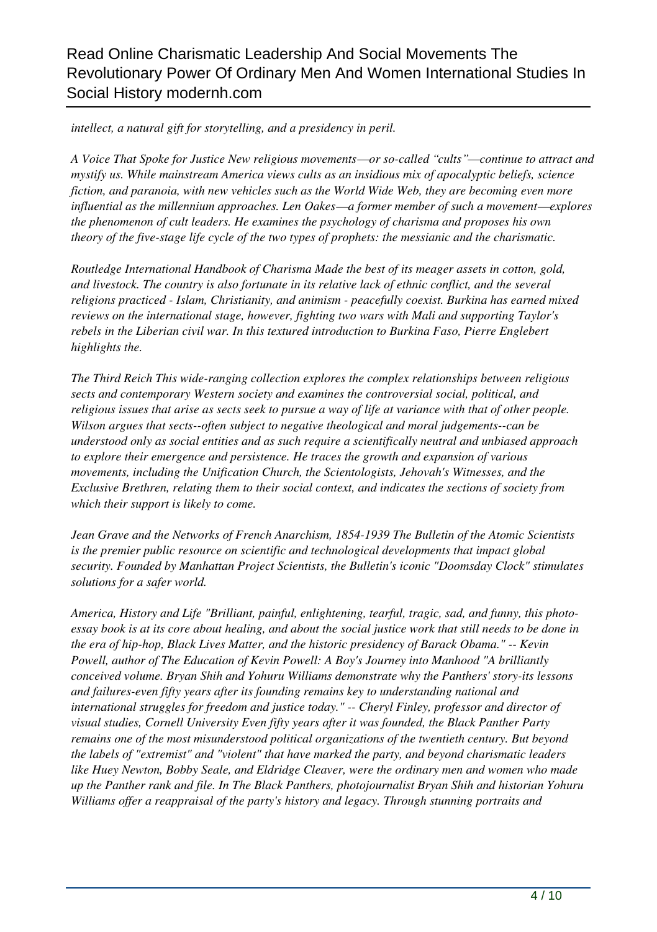*intellect, a natural gift for storytelling, and a presidency in peril.* 

*A Voice That Spoke for Justice New religious movements—or so-called "cults"—continue to attract and mystify us. While mainstream America views cults as an insidious mix of apocalyptic beliefs, science fiction, and paranoia, with new vehicles such as the World Wide Web, they are becoming even more influential as the millennium approaches. Len Oakes—a former member of such a movement—explores the phenomenon of cult leaders. He examines the psychology of charisma and proposes his own theory of the five-stage life cycle of the two types of prophets: the messianic and the charismatic.* 

*Routledge International Handbook of Charisma Made the best of its meager assets in cotton, gold, and livestock. The country is also fortunate in its relative lack of ethnic conflict, and the several religions practiced - Islam, Christianity, and animism - peacefully coexist. Burkina has earned mixed reviews on the international stage, however, fighting two wars with Mali and supporting Taylor's rebels in the Liberian civil war. In this textured introduction to Burkina Faso, Pierre Englebert highlights the.* 

*The Third Reich This wide-ranging collection explores the complex relationships between religious sects and contemporary Western society and examines the controversial social, political, and religious issues that arise as sects seek to pursue a way of life at variance with that of other people. Wilson argues that sects--often subject to negative theological and moral judgements--can be understood only as social entities and as such require a scientifically neutral and unbiased approach to explore their emergence and persistence. He traces the growth and expansion of various movements, including the Unification Church, the Scientologists, Jehovah's Witnesses, and the Exclusive Brethren, relating them to their social context, and indicates the sections of society from which their support is likely to come.* 

*Jean Grave and the Networks of French Anarchism, 1854-1939 The Bulletin of the Atomic Scientists is the premier public resource on scientific and technological developments that impact global security. Founded by Manhattan Project Scientists, the Bulletin's iconic "Doomsday Clock" stimulates solutions for a safer world.* 

*America, History and Life "Brilliant, painful, enlightening, tearful, tragic, sad, and funny, this photoessay book is at its core about healing, and about the social justice work that still needs to be done in the era of hip-hop, Black Lives Matter, and the historic presidency of Barack Obama." -- Kevin Powell, author of The Education of Kevin Powell: A Boy's Journey into Manhood "A brilliantly conceived volume. Bryan Shih and Yohuru Williams demonstrate why the Panthers' story-its lessons and failures-even fifty years after its founding remains key to understanding national and international struggles for freedom and justice today." -- Cheryl Finley, professor and director of visual studies, Cornell University Even fifty years after it was founded, the Black Panther Party remains one of the most misunderstood political organizations of the twentieth century. But beyond the labels of "extremist" and "violent" that have marked the party, and beyond charismatic leaders like Huey Newton, Bobby Seale, and Eldridge Cleaver, were the ordinary men and women who made up the Panther rank and file. In The Black Panthers, photojournalist Bryan Shih and historian Yohuru Williams offer a reappraisal of the party's history and legacy. Through stunning portraits and*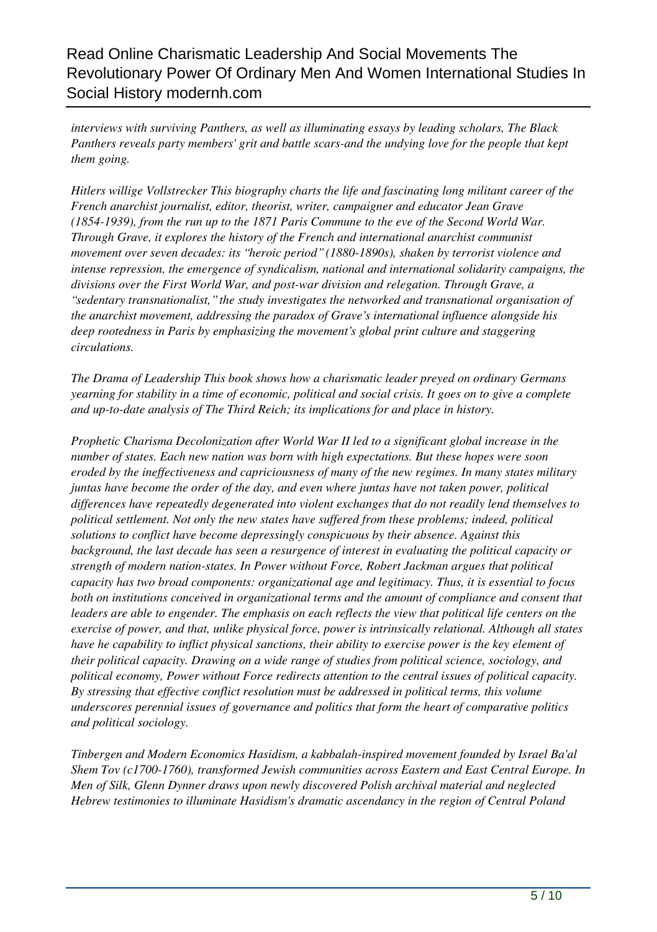*interviews with surviving Panthers, as well as illuminating essays by leading scholars, The Black Panthers reveals party members' grit and battle scars-and the undying love for the people that kept them going.* 

*Hitlers willige Vollstrecker This biography charts the life and fascinating long militant career of the French anarchist journalist, editor, theorist, writer, campaigner and educator Jean Grave (1854-1939), from the run up to the 1871 Paris Commune to the eve of the Second World War. Through Grave, it explores the history of the French and international anarchist communist movement over seven decades: its "heroic period" (1880-1890s), shaken by terrorist violence and intense repression, the emergence of syndicalism, national and international solidarity campaigns, the divisions over the First World War, and post-war division and relegation. Through Grave, a "sedentary transnationalist," the study investigates the networked and transnational organisation of the anarchist movement, addressing the paradox of Grave's international influence alongside his deep rootedness in Paris by emphasizing the movement's global print culture and staggering circulations.* 

*The Drama of Leadership This book shows how a charismatic leader preyed on ordinary Germans yearning for stability in a time of economic, political and social crisis. It goes on to give a complete and up-to-date analysis of The Third Reich; its implications for and place in history.* 

*Prophetic Charisma Decolonization after World War II led to a significant global increase in the number of states. Each new nation was born with high expectations. But these hopes were soon eroded by the ineffectiveness and capriciousness of many of the new regimes. In many states military juntas have become the order of the day, and even where juntas have not taken power, political differences have repeatedly degenerated into violent exchanges that do not readily lend themselves to political settlement. Not only the new states have suffered from these problems; indeed, political solutions to conflict have become depressingly conspicuous by their absence. Against this background, the last decade has seen a resurgence of interest in evaluating the political capacity or strength of modern nation-states. In Power without Force, Robert Jackman argues that political capacity has two broad components: organizational age and legitimacy. Thus, it is essential to focus both on institutions conceived in organizational terms and the amount of compliance and consent that leaders are able to engender. The emphasis on each reflects the view that political life centers on the exercise of power, and that, unlike physical force, power is intrinsically relational. Although all states have he capability to inflict physical sanctions, their ability to exercise power is the key element of their political capacity. Drawing on a wide range of studies from political science, sociology, and political economy, Power without Force redirects attention to the central issues of political capacity. By stressing that effective conflict resolution must be addressed in political terms, this volume underscores perennial issues of governance and politics that form the heart of comparative politics and political sociology.* 

*Tinbergen and Modern Economics Hasidism, a kabbalah-inspired movement founded by Israel Ba'al Shem Tov (c1700-1760), transformed Jewish communities across Eastern and East Central Europe. In Men of Silk, Glenn Dynner draws upon newly discovered Polish archival material and neglected Hebrew testimonies to illuminate Hasidism's dramatic ascendancy in the region of Central Poland*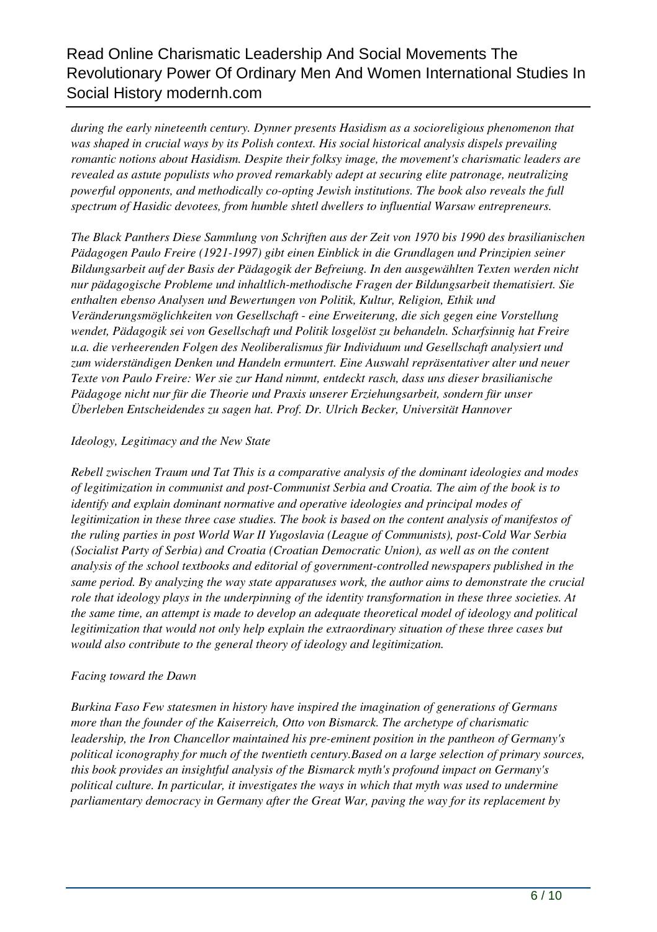*during the early nineteenth century. Dynner presents Hasidism as a socioreligious phenomenon that was shaped in crucial ways by its Polish context. His social historical analysis dispels prevailing romantic notions about Hasidism. Despite their folksy image, the movement's charismatic leaders are revealed as astute populists who proved remarkably adept at securing elite patronage, neutralizing powerful opponents, and methodically co-opting Jewish institutions. The book also reveals the full spectrum of Hasidic devotees, from humble shtetl dwellers to influential Warsaw entrepreneurs.* 

*The Black Panthers Diese Sammlung von Schriften aus der Zeit von 1970 bis 1990 des brasilianischen Pädagogen Paulo Freire (1921-1997) gibt einen Einblick in die Grundlagen und Prinzipien seiner Bildungsarbeit auf der Basis der Pädagogik der Befreiung. In den ausgewählten Texten werden nicht nur pädagogische Probleme und inhaltlich-methodische Fragen der Bildungsarbeit thematisiert. Sie enthalten ebenso Analysen und Bewertungen von Politik, Kultur, Religion, Ethik und Veränderungsmöglichkeiten von Gesellschaft - eine Erweiterung, die sich gegen eine Vorstellung wendet, Pädagogik sei von Gesellschaft und Politik losgelöst zu behandeln. Scharfsinnig hat Freire u.a. die verheerenden Folgen des Neoliberalismus für Individuum und Gesellschaft analysiert und zum widerständigen Denken und Handeln ermuntert. Eine Auswahl repräsentativer alter und neuer Texte von Paulo Freire: Wer sie zur Hand nimmt, entdeckt rasch, dass uns dieser brasilianische Pädagoge nicht nur für die Theorie und Praxis unserer Erziehungsarbeit, sondern für unser Überleben Entscheidendes zu sagen hat. Prof. Dr. Ulrich Becker, Universität Hannover* 

#### *Ideology, Legitimacy and the New State*

*Rebell zwischen Traum und Tat This is a comparative analysis of the dominant ideologies and modes of legitimization in communist and post-Communist Serbia and Croatia. The aim of the book is to identify and explain dominant normative and operative ideologies and principal modes of legitimization in these three case studies. The book is based on the content analysis of manifestos of the ruling parties in post World War II Yugoslavia (League of Communists), post-Cold War Serbia (Socialist Party of Serbia) and Croatia (Croatian Democratic Union), as well as on the content analysis of the school textbooks and editorial of government-controlled newspapers published in the same period. By analyzing the way state apparatuses work, the author aims to demonstrate the crucial role that ideology plays in the underpinning of the identity transformation in these three societies. At the same time, an attempt is made to develop an adequate theoretical model of ideology and political legitimization that would not only help explain the extraordinary situation of these three cases but would also contribute to the general theory of ideology and legitimization.* 

#### *Facing toward the Dawn*

*Burkina Faso Few statesmen in history have inspired the imagination of generations of Germans more than the founder of the Kaiserreich, Otto von Bismarck. The archetype of charismatic leadership, the Iron Chancellor maintained his pre-eminent position in the pantheon of Germany's political iconography for much of the twentieth century.Based on a large selection of primary sources, this book provides an insightful analysis of the Bismarck myth's profound impact on Germany's political culture. In particular, it investigates the ways in which that myth was used to undermine parliamentary democracy in Germany after the Great War, paving the way for its replacement by*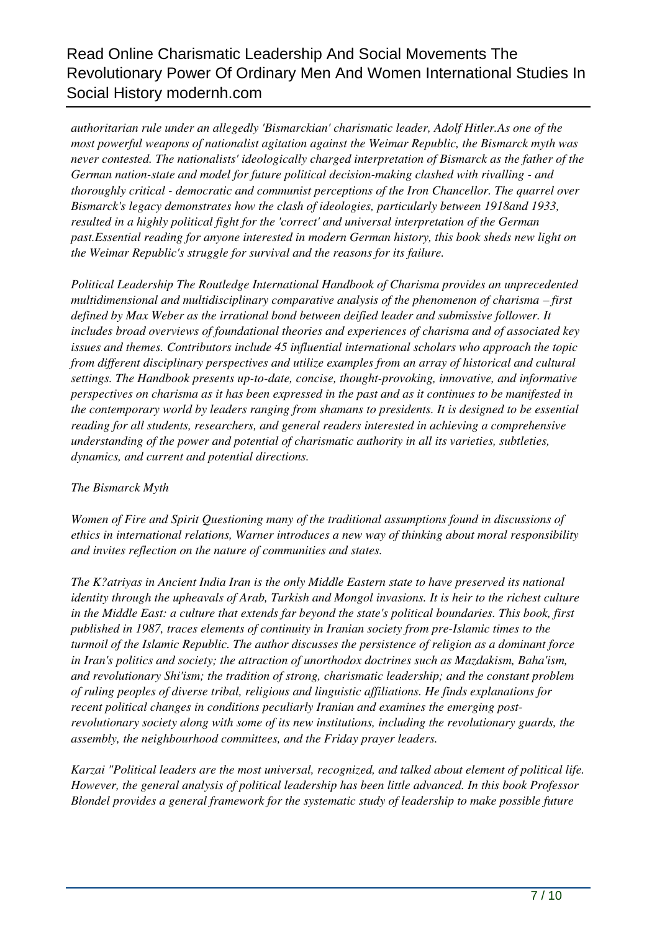*authoritarian rule under an allegedly 'Bismarckian' charismatic leader, Adolf Hitler.As one of the most powerful weapons of nationalist agitation against the Weimar Republic, the Bismarck myth was never contested. The nationalists' ideologically charged interpretation of Bismarck as the father of the German nation-state and model for future political decision-making clashed with rivalling - and thoroughly critical - democratic and communist perceptions of the Iron Chancellor. The quarrel over Bismarck's legacy demonstrates how the clash of ideologies, particularly between 1918and 1933, resulted in a highly political fight for the 'correct' and universal interpretation of the German past.Essential reading for anyone interested in modern German history, this book sheds new light on the Weimar Republic's struggle for survival and the reasons for its failure.* 

*Political Leadership The Routledge International Handbook of Charisma provides an unprecedented multidimensional and multidisciplinary comparative analysis of the phenomenon of charisma – first defined by Max Weber as the irrational bond between deified leader and submissive follower. It includes broad overviews of foundational theories and experiences of charisma and of associated key issues and themes. Contributors include 45 influential international scholars who approach the topic from different disciplinary perspectives and utilize examples from an array of historical and cultural settings. The Handbook presents up-to-date, concise, thought-provoking, innovative, and informative perspectives on charisma as it has been expressed in the past and as it continues to be manifested in the contemporary world by leaders ranging from shamans to presidents. It is designed to be essential reading for all students, researchers, and general readers interested in achieving a comprehensive understanding of the power and potential of charismatic authority in all its varieties, subtleties, dynamics, and current and potential directions.* 

#### *The Bismarck Myth*

*Women of Fire and Spirit Questioning many of the traditional assumptions found in discussions of ethics in international relations, Warner introduces a new way of thinking about moral responsibility and invites reflection on the nature of communities and states.* 

*The K?atriyas in Ancient India Iran is the only Middle Eastern state to have preserved its national identity through the upheavals of Arab, Turkish and Mongol invasions. It is heir to the richest culture in the Middle East: a culture that extends far beyond the state's political boundaries. This book, first published in 1987, traces elements of continuity in Iranian society from pre-Islamic times to the turmoil of the Islamic Republic. The author discusses the persistence of religion as a dominant force in Iran's politics and society; the attraction of unorthodox doctrines such as Mazdakism, Baha'ism, and revolutionary Shi'ism; the tradition of strong, charismatic leadership; and the constant problem of ruling peoples of diverse tribal, religious and linguistic affiliations. He finds explanations for recent political changes in conditions peculiarly Iranian and examines the emerging postrevolutionary society along with some of its new institutions, including the revolutionary guards, the assembly, the neighbourhood committees, and the Friday prayer leaders.* 

*Karzai "Political leaders are the most universal, recognized, and talked about element of political life. However, the general analysis of political leadership has been little advanced. In this book Professor Blondel provides a general framework for the systematic study of leadership to make possible future*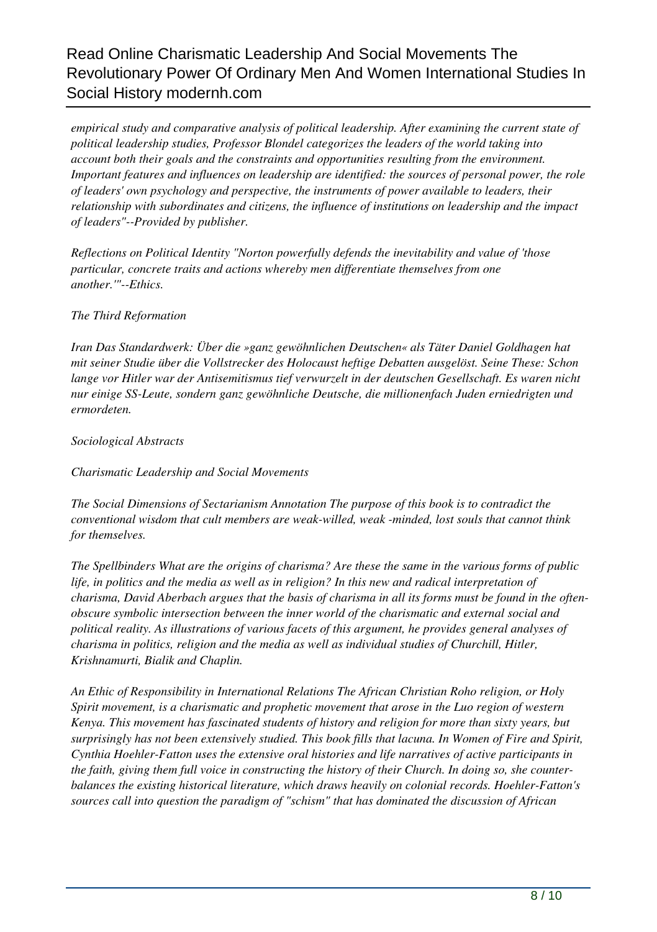*empirical study and comparative analysis of political leadership. After examining the current state of political leadership studies, Professor Blondel categorizes the leaders of the world taking into account both their goals and the constraints and opportunities resulting from the environment. Important features and influences on leadership are identified: the sources of personal power, the role of leaders' own psychology and perspective, the instruments of power available to leaders, their relationship with subordinates and citizens, the influence of institutions on leadership and the impact of leaders"--Provided by publisher.* 

*Reflections on Political Identity "Norton powerfully defends the inevitability and value of 'those particular, concrete traits and actions whereby men differentiate themselves from one another.'"--Ethics.* 

#### *The Third Reformation*

*Iran Das Standardwerk: Über die »ganz gewöhnlichen Deutschen« als Täter Daniel Goldhagen hat mit seiner Studie über die Vollstrecker des Holocaust heftige Debatten ausgelöst. Seine These: Schon lange vor Hitler war der Antisemitismus tief verwurzelt in der deutschen Gesellschaft. Es waren nicht nur einige SS-Leute, sondern ganz gewöhnliche Deutsche, die millionenfach Juden erniedrigten und ermordeten.* 

#### *Sociological Abstracts*

*Charismatic Leadership and Social Movements* 

*The Social Dimensions of Sectarianism Annotation The purpose of this book is to contradict the conventional wisdom that cult members are weak-willed, weak -minded, lost souls that cannot think for themselves.* 

*The Spellbinders What are the origins of charisma? Are these the same in the various forms of public life, in politics and the media as well as in religion? In this new and radical interpretation of charisma, David Aberbach argues that the basis of charisma in all its forms must be found in the oftenobscure symbolic intersection between the inner world of the charismatic and external social and political reality. As illustrations of various facets of this argument, he provides general analyses of charisma in politics, religion and the media as well as individual studies of Churchill, Hitler, Krishnamurti, Bialik and Chaplin.* 

*An Ethic of Responsibility in International Relations The African Christian Roho religion, or Holy Spirit movement, is a charismatic and prophetic movement that arose in the Luo region of western Kenya. This movement has fascinated students of history and religion for more than sixty years, but surprisingly has not been extensively studied. This book fills that lacuna. In Women of Fire and Spirit, Cynthia Hoehler-Fatton uses the extensive oral histories and life narratives of active participants in the faith, giving them full voice in constructing the history of their Church. In doing so, she counterbalances the existing historical literature, which draws heavily on colonial records. Hoehler-Fatton's sources call into question the paradigm of "schism" that has dominated the discussion of African*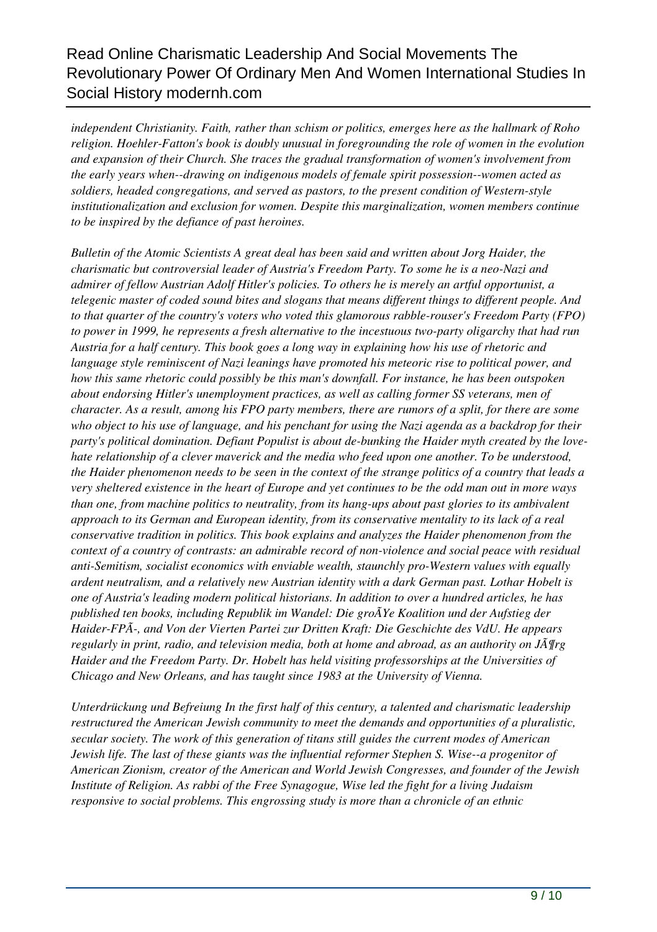*independent Christianity. Faith, rather than schism or politics, emerges here as the hallmark of Roho religion. Hoehler-Fatton's book is doubly unusual in foregrounding the role of women in the evolution and expansion of their Church. She traces the gradual transformation of women's involvement from the early years when--drawing on indigenous models of female spirit possession--women acted as soldiers, headed congregations, and served as pastors, to the present condition of Western-style institutionalization and exclusion for women. Despite this marginalization, women members continue to be inspired by the defiance of past heroines.* 

*Bulletin of the Atomic Scientists A great deal has been said and written about Jorg Haider, the charismatic but controversial leader of Austria's Freedom Party. To some he is a neo-Nazi and admirer of fellow Austrian Adolf Hitler's policies. To others he is merely an artful opportunist, a telegenic master of coded sound bites and slogans that means different things to different people. And to that quarter of the country's voters who voted this glamorous rabble-rouser's Freedom Party (FPO) to power in 1999, he represents a fresh alternative to the incestuous two-party oligarchy that had run Austria for a half century. This book goes a long way in explaining how his use of rhetoric and language style reminiscent of Nazi leanings have promoted his meteoric rise to political power, and how this same rhetoric could possibly be this man's downfall. For instance, he has been outspoken about endorsing Hitler's unemployment practices, as well as calling former SS veterans, men of character. As a result, among his FPO party members, there are rumors of a split, for there are some who object to his use of language, and his penchant for using the Nazi agenda as a backdrop for their party's political domination. Defiant Populist is about de-bunking the Haider myth created by the lovehate relationship of a clever maverick and the media who feed upon one another. To be understood, the Haider phenomenon needs to be seen in the context of the strange politics of a country that leads a very sheltered existence in the heart of Europe and yet continues to be the odd man out in more ways than one, from machine politics to neutrality, from its hang-ups about past glories to its ambivalent approach to its German and European identity, from its conservative mentality to its lack of a real conservative tradition in politics. This book explains and analyzes the Haider phenomenon from the context of a country of contrasts: an admirable record of non-violence and social peace with residual anti-Semitism, socialist economics with enviable wealth, staunchly pro-Western values with equally ardent neutralism, and a relatively new Austrian identity with a dark German past. Lothar Hobelt is one of Austria's leading modern political historians. In addition to over a hundred articles, he has published ten books, including Republik im Wandel: Die groÃYe Koalition und der Aufstieg der Haider-FPÃ-, and Von der Vierten Partei zur Dritten Kraft: Die Geschichte des VdU. He appears regularly in print, radio, and television media, both at home and abroad, as an authority on J* $\tilde{A}$  $\parallel$ *rg Haider and the Freedom Party. Dr. Hobelt has held visiting professorships at the Universities of Chicago and New Orleans, and has taught since 1983 at the University of Vienna.* 

*Unterdrückung und Befreiung In the first half of this century, a talented and charismatic leadership restructured the American Jewish community to meet the demands and opportunities of a pluralistic, secular society. The work of this generation of titans still guides the current modes of American Jewish life. The last of these giants was the influential reformer Stephen S. Wise--a progenitor of American Zionism, creator of the American and World Jewish Congresses, and founder of the Jewish Institute of Religion. As rabbi of the Free Synagogue, Wise led the fight for a living Judaism responsive to social problems. This engrossing study is more than a chronicle of an ethnic*